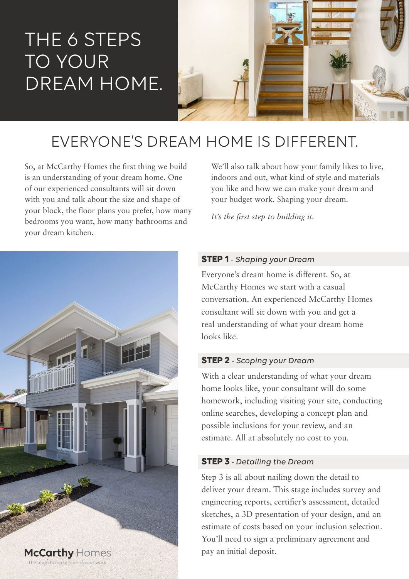# THE 6 STEPS TO YOUR DREAM HOME.



# EVERYONE'S DREAM HOME IS DIFFERENT.

So, at McCarthy Homes the first thing we build is an understanding of your dream home. One of our experienced consultants will sit down with you and talk about the size and shape of your block, the floor plans you prefer, how many bedrooms you want, how many bathrooms and your dream kitchen.



We'll also talk about how your family likes to live, indoors and out, what kind of style and materials you like and how we can make your dream and your budget work. Shaping your dream.

*It's the first step to building it.*

# **STEP 1** *- Shaping your Dream*

Everyone's dream home is different. So, at McCarthy Homes we start with a casual conversation. An experienced McCarthy Homes consultant will sit down with you and get a real understanding of what your dream home looks like.

# **STEP 2** *- Scoping your Dream*

With a clear understanding of what your dream home looks like, your consultant will do some homework, including visiting your site, conducting online searches, developing a concept plan and possible inclusions for your review, and an estimate. All at absolutely no cost to you.

# **STEP 3** *- Detailing the Dream*

Step 3 is all about nailing down the detail to deliver your dream. This stage includes survey and engineering reports, certifier's assessment, detailed sketches, a 3D presentation of your design, and an estimate of costs based on your inclusion selection. You'll need to sign a preliminary agreement and pay an initial deposit.